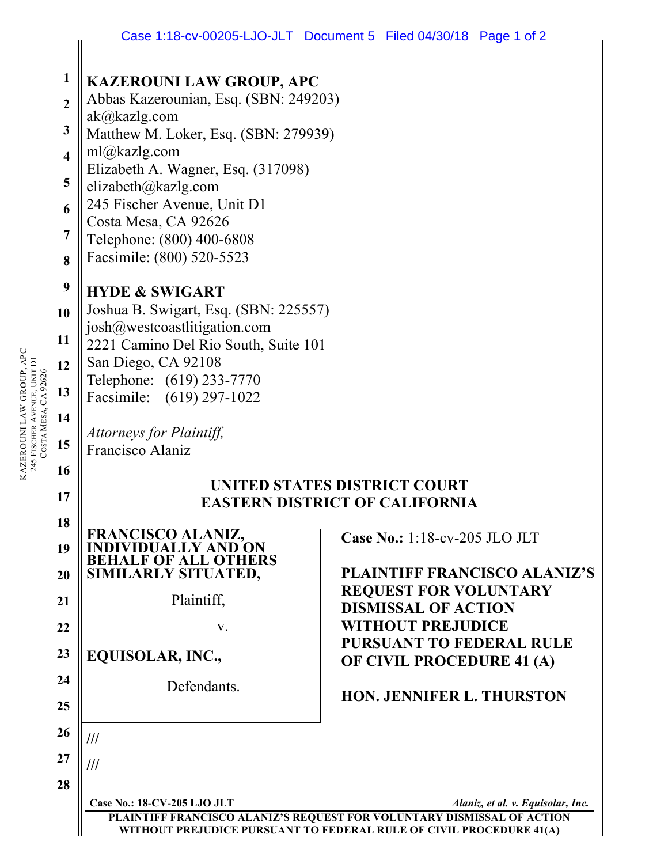|                                                                                      | Case 1:18-CV-00205-LJO-JLT DOCUMENT5 FILED 04/30/18 Page 1 of 2                                                                                                                                                                                                                                                                |  |                                                                                                      |                                   |  |
|--------------------------------------------------------------------------------------|--------------------------------------------------------------------------------------------------------------------------------------------------------------------------------------------------------------------------------------------------------------------------------------------------------------------------------|--|------------------------------------------------------------------------------------------------------|-----------------------------------|--|
| 1<br>$\overline{2}$<br>3<br>$\overline{\mathbf{4}}$<br>5<br>6<br>$\overline{7}$<br>8 | <b>KAZEROUNI LAW GROUP, APC</b><br>Abbas Kazerounian, Esq. (SBN: 249203)<br>ak@kazlg.com<br>Matthew M. Loker, Esq. (SBN: 279939)<br>ml@kazlg.com<br>Elizabeth A. Wagner, Esq. (317098)<br>elizabeth@kazlg.com<br>245 Fischer Avenue, Unit D1<br>Costa Mesa, CA 92626<br>Telephone: (800) 400-6808<br>Facsimile: (800) 520-5523 |  |                                                                                                      |                                   |  |
| 9<br>10<br>11<br>12<br>$USDA$ MESA, $CADZ0Z0$<br>13<br>14<br>15<br>16                | <b>HYDE &amp; SWIGART</b><br>Joshua B. Swigart, Esq. (SBN: 225557)<br>josh@westcoastlitigation.com<br>2221 Camino Del Rio South, Suite 101<br>San Diego, CA 92108<br>Telephone: (619) 233-7770<br>Facsimile: (619) 297-1022<br>Attorneys for Plaintiff,<br>Francisco Alaniz<br>UNITED STATES DISTRICT COURT                    |  |                                                                                                      |                                   |  |
| 17<br>18                                                                             | <b>EASTERN DISTRICT OF CALIFORNIA</b>                                                                                                                                                                                                                                                                                          |  |                                                                                                      |                                   |  |
| 19<br>20                                                                             | FRANCISCO ALANIZ,<br><b>F ALL OTHERS</b><br>SIMILARLY SITUATED,<br>Plaintiff,                                                                                                                                                                                                                                                  |  | Case No.: 1:18-cv-205 JLO JLT<br><b>PLAINTIFF FRANCISCO ALANIZ'S</b><br><b>REQUEST FOR VOLUNTARY</b> |                                   |  |
| 21<br>22                                                                             | V.                                                                                                                                                                                                                                                                                                                             |  | <b>DISMISSAL OF ACTION</b><br><b>WITHOUT PREJUDICE</b>                                               |                                   |  |
| 23                                                                                   | EQUISOLAR, INC.,                                                                                                                                                                                                                                                                                                               |  | OF CIVIL PROCEDURE 41 (A)                                                                            | <b>PURSUANT TO FEDERAL RULE</b>   |  |
| 24<br>25                                                                             | Defendants.                                                                                                                                                                                                                                                                                                                    |  | <b>HON. JENNIFER L. THURSTON</b>                                                                     |                                   |  |
| 26                                                                                   | ///                                                                                                                                                                                                                                                                                                                            |  |                                                                                                      |                                   |  |
| 27                                                                                   | ///                                                                                                                                                                                                                                                                                                                            |  |                                                                                                      |                                   |  |
| 28                                                                                   | Case No.: 18-CV-205 LJO JLT<br>PLAINTIFF FRANCISCO ALANIZ'S REQUEST FOR VOLUNTARY DISMISSAL OF ACTION<br>WITHOUT PREJUDICE PURSUANT TO FEDERAL RULE OF CIVIL PROCEDURE 41(A)                                                                                                                                                   |  |                                                                                                      | Alaniz, et al. v. Equisolar, Inc. |  |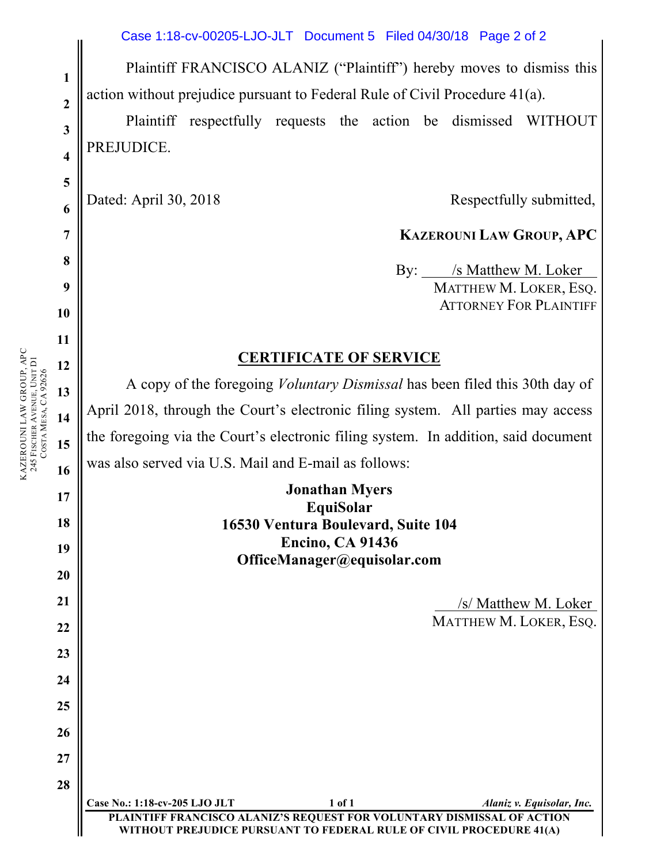Plaintiff FRANCISCO ALANIZ ("Plaintiff") hereby moves to dismiss this action without prejudice pursuant to Federal Rule of Civil Procedure 41(a).

Plaintiff respectfully requests the action be dismissed WITHOUT PREJUDICE.

Dated: April 30, 2018 Respectfully submitted,

## **KAZEROUNI LAW GROUP, APC**

 By: /s Matthew M. Loker MATTHEW M. LOKER, ESQ. ATTORNEY FOR PLAINTIFF

## **CERTIFICATE OF SERVICE**

A copy of the foregoing *Voluntary Dismissal* has been filed this 30th day of April 2018, through the Court's electronic filing system. All parties may access the foregoing via the Court's electronic filing system. In addition, said document was also served via U.S. Mail and E-mail as follows:

| <b>Jonathan Myers</b>              |  |  |
|------------------------------------|--|--|
| EquiSolar                          |  |  |
| 16530 Ventura Boulevard, Suite 104 |  |  |
| <b>Encino, CA 91436</b>            |  |  |
| OfficeManager@equisolar.com        |  |  |
|                                    |  |  |

 /s/ Matthew M. Loker MATTHEW M. LOKER, ESQ.

**Case No.: 1:18-cv-205 LJO JLT 1 of 1** *Alaniz v. Equisolar, Inc.* **PLAINTIFF FRANCISCO ALANIZ'S REQUEST FOR VOLUNTARY DISMISSAL OF ACTION WICE PURSUANT TO FEDERAL RULE OF CIVIL PROCEDURE 41(A)** 

**11 12 13 14 15 16** KAZEROUNI LAW GROUP, APC 245 FISCHER AVENUE, UNIT D1 KAZEROUNI LAW GROUP, APC<br>245 FISCHER AVENUE, UNIT DI<br>COSTA MESA, CA 92626 MESA, CA 92626

**1**

**2**

**3**

**4**

**5**

**6**

**7**

**8**

**9**

**10**

**17**

**18**

**19**

**20**

**21**

**22**

**23**

**24**

**25**

**26**

**27**

**28**